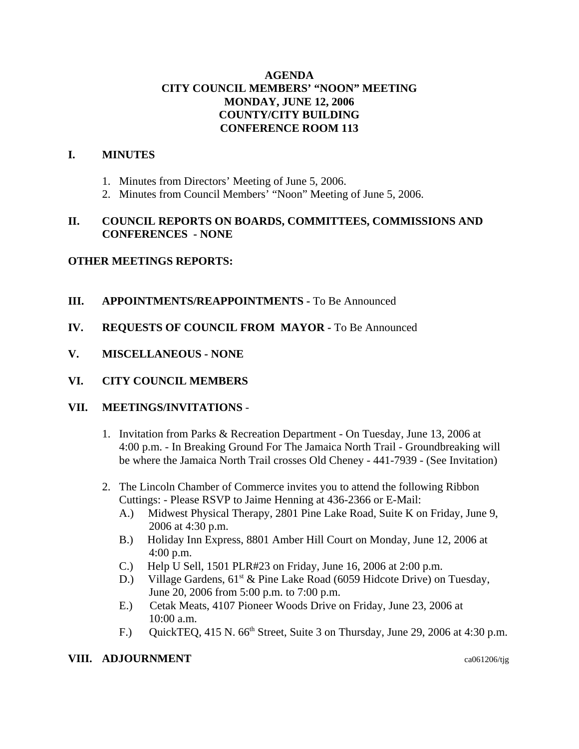# **AGENDA CITY COUNCIL MEMBERS' "NOON" MEETING MONDAY, JUNE 12, 2006 COUNTY/CITY BUILDING CONFERENCE ROOM 113**

## **I. MINUTES**

- 1. Minutes from Directors' Meeting of June 5, 2006.
- 2. Minutes from Council Members' "Noon" Meeting of June 5, 2006.

# **II. COUNCIL REPORTS ON BOARDS, COMMITTEES, COMMISSIONS AND CONFERENCES - NONE**

## **OTHER MEETINGS REPORTS:**

## **III.** APPOINTMENTS/REAPPOINTMENTS - To Be Announced

- **IV. REQUESTS OF COUNCIL FROM MAYOR -** To Be Announced
- **V. MISCELLANEOUS NONE**
- **VI. CITY COUNCIL MEMBERS**

## **VII. MEETINGS/INVITATIONS** -

- 1. Invitation from Parks & Recreation Department On Tuesday, June 13, 2006 at 4:00 p.m. - In Breaking Ground For The Jamaica North Trail - Groundbreaking will be where the Jamaica North Trail crosses Old Cheney - 441-7939 - (See Invitation)
- 2. The Lincoln Chamber of Commerce invites you to attend the following Ribbon Cuttings: - Please RSVP to Jaime Henning at 436-2366 or E-Mail:
	- A.) Midwest Physical Therapy, 2801 Pine Lake Road, Suite K on Friday, June 9, 2006 at 4:30 p.m.
	- B.) Holiday Inn Express, 8801 Amber Hill Court on Monday, June 12, 2006 at 4:00 p.m.
	- C.) Help U Sell, 1501 PLR#23 on Friday, June 16, 2006 at 2:00 p.m.
	- D.) Village Gardens,  $61^{st}$  & Pine Lake Road (6059 Hidcote Drive) on Tuesday, June 20, 2006 from 5:00 p.m. to 7:00 p.m.
	- E.) Cetak Meats, 4107 Pioneer Woods Drive on Friday, June 23, 2006 at 10:00 a.m.
	- F.) QuickTEQ, 415 N.  $66<sup>th</sup>$  Street, Suite 3 on Thursday, June 29, 2006 at 4:30 p.m.

### **VIII. ADJOURNMENT** ca061206/tig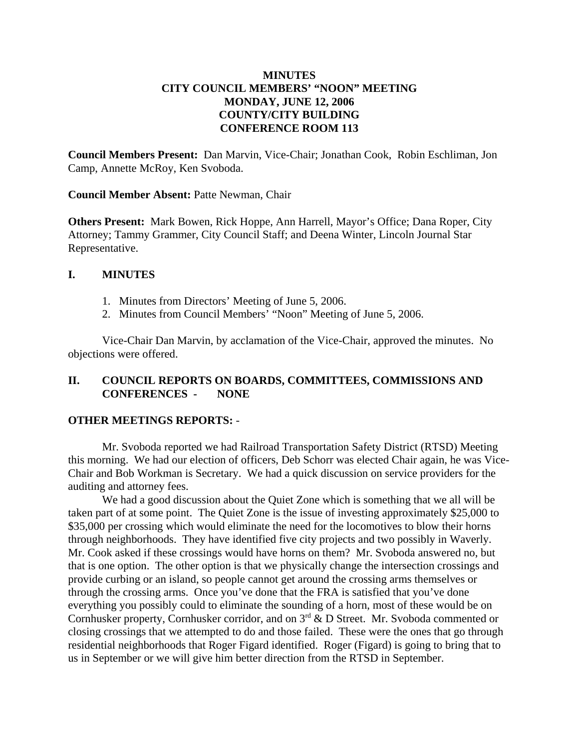# **MINUTES CITY COUNCIL MEMBERS' "NOON" MEETING MONDAY, JUNE 12, 2006 COUNTY/CITY BUILDING CONFERENCE ROOM 113**

**Council Members Present:** Dan Marvin, Vice-Chair; Jonathan Cook, Robin Eschliman, Jon Camp, Annette McRoy, Ken Svoboda.

**Council Member Absent:** Patte Newman, Chair

**Others Present:** Mark Bowen, Rick Hoppe, Ann Harrell, Mayor's Office; Dana Roper, City Attorney; Tammy Grammer, City Council Staff; and Deena Winter, Lincoln Journal Star Representative.

### **I. MINUTES**

- 1. Minutes from Directors' Meeting of June 5, 2006.
- 2. Minutes from Council Members' "Noon" Meeting of June 5, 2006.

Vice-Chair Dan Marvin, by acclamation of the Vice-Chair, approved the minutes. No objections were offered.

## **II. COUNCIL REPORTS ON BOARDS, COMMITTEES, COMMISSIONS AND CONFERENCES - NONE**

## **OTHER MEETINGS REPORTS:** -

Mr. Svoboda reported we had Railroad Transportation Safety District (RTSD) Meeting this morning. We had our election of officers, Deb Schorr was elected Chair again, he was Vice-Chair and Bob Workman is Secretary. We had a quick discussion on service providers for the auditing and attorney fees.

We had a good discussion about the Quiet Zone which is something that we all will be taken part of at some point. The Quiet Zone is the issue of investing approximately \$25,000 to \$35,000 per crossing which would eliminate the need for the locomotives to blow their horns through neighborhoods. They have identified five city projects and two possibly in Waverly. Mr. Cook asked if these crossings would have horns on them? Mr. Svoboda answered no, but that is one option. The other option is that we physically change the intersection crossings and provide curbing or an island, so people cannot get around the crossing arms themselves or through the crossing arms. Once you've done that the FRA is satisfied that you've done everything you possibly could to eliminate the sounding of a horn, most of these would be on Cornhusker property, Cornhusker corridor, and on 3<sup>rd</sup> & D Street. Mr. Svoboda commented or closing crossings that we attempted to do and those failed. These were the ones that go through residential neighborhoods that Roger Figard identified. Roger (Figard) is going to bring that to us in September or we will give him better direction from the RTSD in September.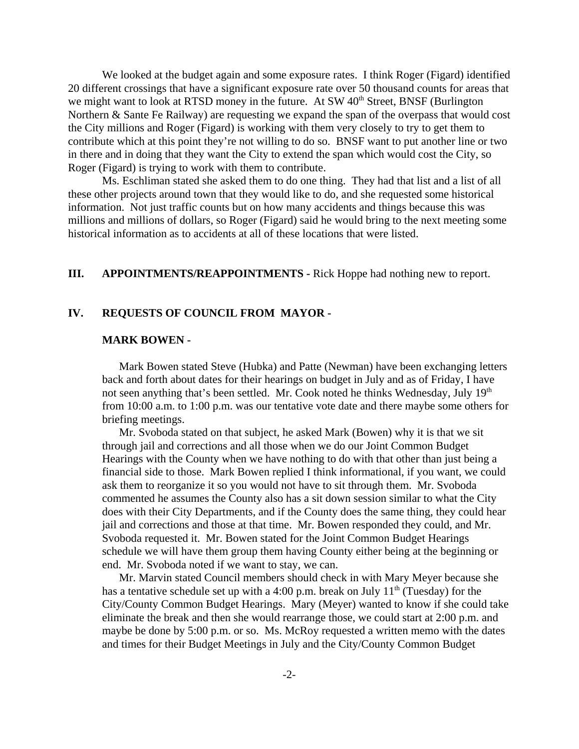We looked at the budget again and some exposure rates. I think Roger (Figard) identified 20 different crossings that have a significant exposure rate over 50 thousand counts for areas that we might want to look at RTSD money in the future. At  $SW 40<sup>th</sup>$  Street, BNSF (Burlington Northern & Sante Fe Railway) are requesting we expand the span of the overpass that would cost the City millions and Roger (Figard) is working with them very closely to try to get them to contribute which at this point they're not willing to do so. BNSF want to put another line or two in there and in doing that they want the City to extend the span which would cost the City, so Roger (Figard) is trying to work with them to contribute.

Ms. Eschliman stated she asked them to do one thing. They had that list and a list of all these other projects around town that they would like to do, and she requested some historical information. Not just traffic counts but on how many accidents and things because this was millions and millions of dollars, so Roger (Figard) said he would bring to the next meeting some historical information as to accidents at all of these locations that were listed.

# **III. APPOINTMENTS/REAPPOINTMENTS -** Rick Hoppe had nothing new to report.

### **IV. REQUESTS OF COUNCIL FROM MAYOR -**

#### **MARK BOWEN -**

Mark Bowen stated Steve (Hubka) and Patte (Newman) have been exchanging letters back and forth about dates for their hearings on budget in July and as of Friday, I have not seen anything that's been settled. Mr. Cook noted he thinks Wednesday, July 19<sup>th</sup> from 10:00 a.m. to 1:00 p.m. was our tentative vote date and there maybe some others for briefing meetings.

Mr. Svoboda stated on that subject, he asked Mark (Bowen) why it is that we sit through jail and corrections and all those when we do our Joint Common Budget Hearings with the County when we have nothing to do with that other than just being a financial side to those. Mark Bowen replied I think informational, if you want, we could ask them to reorganize it so you would not have to sit through them. Mr. Svoboda commented he assumes the County also has a sit down session similar to what the City does with their City Departments, and if the County does the same thing, they could hear jail and corrections and those at that time. Mr. Bowen responded they could, and Mr. Svoboda requested it. Mr. Bowen stated for the Joint Common Budget Hearings schedule we will have them group them having County either being at the beginning or end. Mr. Svoboda noted if we want to stay, we can.

Mr. Marvin stated Council members should check in with Mary Meyer because she has a tentative schedule set up with a 4:00 p.m. break on July  $11<sup>th</sup>$  (Tuesday) for the City/County Common Budget Hearings. Mary (Meyer) wanted to know if she could take eliminate the break and then she would rearrange those, we could start at 2:00 p.m. and maybe be done by 5:00 p.m. or so. Ms. McRoy requested a written memo with the dates and times for their Budget Meetings in July and the City/County Common Budget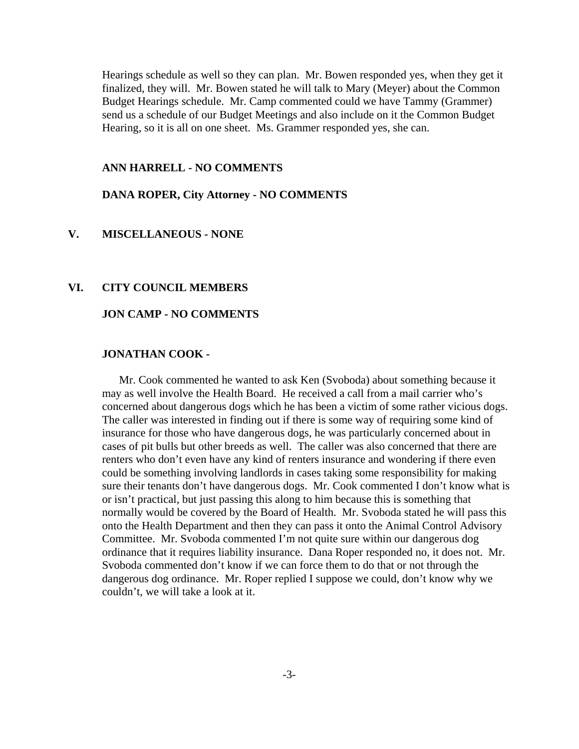Hearings schedule as well so they can plan. Mr. Bowen responded yes, when they get it finalized, they will. Mr. Bowen stated he will talk to Mary (Meyer) about the Common Budget Hearings schedule. Mr. Camp commented could we have Tammy (Grammer) send us a schedule of our Budget Meetings and also include on it the Common Budget Hearing, so it is all on one sheet. Ms. Grammer responded yes, she can.

#### **ANN HARRELL - NO COMMENTS**

### **DANA ROPER, City Attorney - NO COMMENTS**

# **V. MISCELLANEOUS - NONE**

### **VI. CITY COUNCIL MEMBERS**

#### **JON CAMP - NO COMMENTS**

### **JONATHAN COOK -**

Mr. Cook commented he wanted to ask Ken (Svoboda) about something because it may as well involve the Health Board. He received a call from a mail carrier who's concerned about dangerous dogs which he has been a victim of some rather vicious dogs. The caller was interested in finding out if there is some way of requiring some kind of insurance for those who have dangerous dogs, he was particularly concerned about in cases of pit bulls but other breeds as well. The caller was also concerned that there are renters who don't even have any kind of renters insurance and wondering if there even could be something involving landlords in cases taking some responsibility for making sure their tenants don't have dangerous dogs. Mr. Cook commented I don't know what is or isn't practical, but just passing this along to him because this is something that normally would be covered by the Board of Health. Mr. Svoboda stated he will pass this onto the Health Department and then they can pass it onto the Animal Control Advisory Committee. Mr. Svoboda commented I'm not quite sure within our dangerous dog ordinance that it requires liability insurance. Dana Roper responded no, it does not. Mr. Svoboda commented don't know if we can force them to do that or not through the dangerous dog ordinance. Mr. Roper replied I suppose we could, don't know why we couldn't, we will take a look at it.